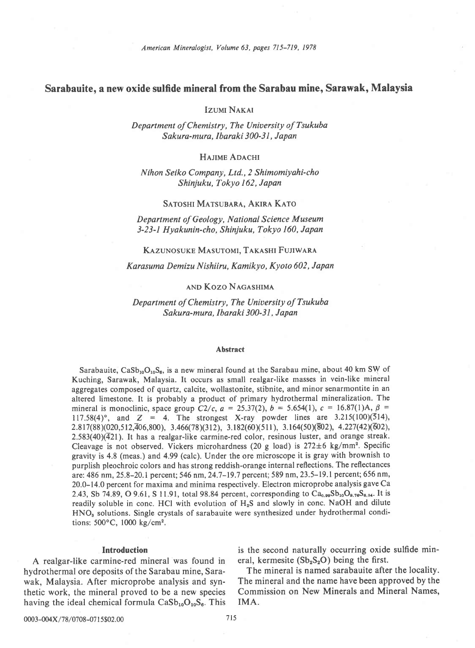# Sarabauite, a new oxide sulfide mineral from the Sarabau mine, Sarawak, Malaysia

**Izumi NAKAI** 

Department of Chemistry, The University of Tsukuba Sakura-mura, Ibaraki 300-31, Japan

HAJIME ADACHI

Nihon Seiko Company, Ltd.,2 Shimomiyahi-cho Shinjuku, Tokyo 162, Japan

### SATOSHI MATSUBARA, AKIRA KATO

Department of Geology, National Science Museum 3-23-l Hyakunin-cho, Shinjuku, Tokyo 160, Japan

#### KAZUNOSUKE MASUTOMI, TAKASHI FUJIWARA

Karasuma Demizu Nishiiru, Kamikyo, Kyoto 602, Japan

# and Kozo Nagashima

Department of Chemistry, The University of Tsukuba Sakura-mura, Ibaraki 300-31, Japan

#### Abstract

Sarabauite,  $CaSb_{10}O_{10}S_6$ , is a new mineral found at the Sarabau mine, about 40 km SW of Kuching, Sarawak, Malaysia. It occurs as small realgar-like masses in vein-like mineral aggregates composed of quartz, calcite, wollastonite, stibnite, and minor senarmontite in an altered limestone. It is probably a product of primary hydrothermal mineralization. The mineral is monoclinic, space group C2/c,  $a = 25.37(2)$ ,  $b = 5.654(1)$ ,  $c = 16.87(1)$ A,  $\beta =$  $117.58(4)^\circ$ , and  $Z = 4$ . The strongest X-ray powder lines are 3.215(100)(514),  $2.817(88)(020,512,\overline{4}06,800)$ ,  $3.466(78)(312)$ ,  $3.182(60)(511)$ ,  $3.164(50)(\overline{8}02)$ ,  $4.227(42)(\overline{6}02)$ ,  $2.583(40)(\overline{4}21)$ . It has a realgar-like carmine-red color, resinous luster, and orange streak. Cleavage is not observed. Vickers microhardness (20 g load) is  $272 \pm 6$  kg/mm<sup>2</sup>. Specific gravity is 4.8 (meas.) and 4.99 (calc). Under the ore microscope it is gray with brownish to purplish pleochroic colors and has strong reddish-orange internal reflections. The reflectances are: 486 nm, 25.8-20.1 percent; 546 nm, 24.7-19.7 percent; 589 nm, 23.5-19.1percent;656 nm, 20.0-14.0 percent for maxima and minima respectively. Electron microprobe analysis gave Ca 2.43, Sb 74.89, O 9.61, S 11.91, total 98.84 percent, corresponding to  $Ca_{0.99}Sb_{10}O_{9.76}S_{6.04}$ . It is readily soluble in conc. HCl with evolution of  $H_2S$  and slowly in conc. NaOH and dilute HNO, solutions. Single crystals of sarabauite were synthesized under hydrothermal conditions:  $500^{\circ}$ C,  $1000 \text{ kg/cm}^2$ .

A realgar-like carmine-red mineral was found in eral, kermesite  $(Sb_2S_2O)$  being the first. hydrothermal ore deposits of the Sarabau mine, Sara-<br>wak. Malaysia. After microprobe analysis and syn-<br>The mineral and the name have been approved by the wak, Malaysia. After microprobe analysis and synthetic work, the mineral proved to be a new species Commission on New Minerals and Mineral Names, having the ideal chemical formula  $CaSb_{10}O_{10}S_6$ . This IMA.

Introduction is the second naturally occurring oxide sulfide min-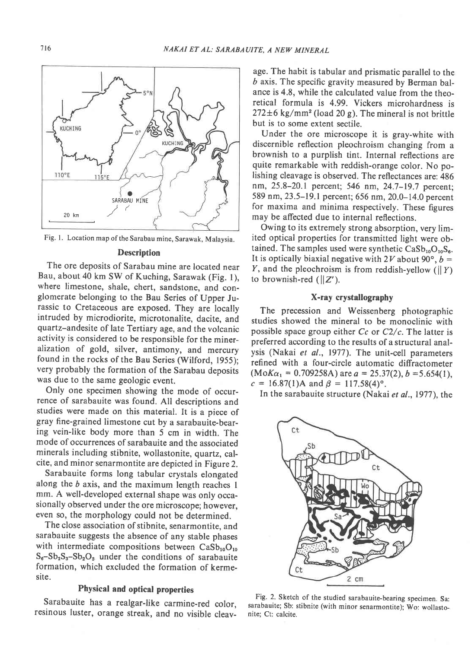

Fig. l. Location map of the Sarabau mine, Sarawak, Malaysia.

# Description

The ore deposits of Sarabau mine are located near Bau, about 40 km SW of Kuching, Sarawak (Fig. 1), where limestone, shale, chert, sandstone, and conglomerate belonging to the Bau Series of Upper Jurassic to Cretaceous are exposed. They are locally intruded by microdiorite, microtonalite, dacite, and quartz-andesite of late Tertiary age, and the volcanic activity is considered to be responsible for the mineralization of gold, silver, antimony, and mercury found in the rocks of the Bau Series (Wilford, 1955); very probably the formation of the Sarabau deposits was due to the same geologic event.

Only one specimen showing the mode of occurrence of sarabauite was found. All descriptions and studies were made on this material. It is a piece of gray fine-grained limestone cut by a sarabauite-bearing vein-like body more than 5 cm in width. The mode of occurrences of sarabauite and the associated minerals including stibnite, wollastonite, quartz, calcite, and minor senarmontite are depicted in Figure 2.

Sarabauite forms long tabular crystals elongated along the  $b$  axis, and the maximum length reaches 1 mm. A well-developed external shape was only occasionally observed under the ore microscope; however, even so, the morphology could not be determined.

The close association of stibnite, senarmontite, and sarabauite suggests the absence of any stable phases with intermediate compositions between  $CaSb_{10}O_{10}$  $S_6-Sb_2S_3-Sb_2O_3$  under the conditions of sarabauite formation, which excluded the formation of kermesite.

## Physical and optical properties

Sarabauite has a realgar-like carmine-red color. resinous luster, orange streak, and no visible cleav-

age. The habit is tabular and prismatic parallel to the  *axis. The specific gravity measured by Berman bal*ance is 4.8, while the calculated value from the theoretical formula is 4.99. Vickers microhardness is  $272 \pm 6$  kg/mm<sup>2</sup> (load 20 g). The mineral is not brittle but is to some extent sectile.

Under the ore microscope it is gray-white with discernible reflection pleochroism changing from a brownish to a purplish tint. Internal reflections are quite remarkable with reddish-orange color. No polishing cleavage is observed. The reflectances are: 486 nm,25.8-20.1 percent; 546 nm, 24.7-19.7 percent; 589 nm, 23.5-19.1 percent; 656 nm, 20.0-14.0 percent for maxima and minima respectively. These figures may be affected due to internal reflections.

Owing to its extremely strong absorption, very limited optical properties for transmitted light were obtained. The samples used were synthetic  $CaSb_{10}O_{10}S_6$ . It is optically biaxial negative with  $2V$  about  $90^\circ$ ,  $b =$ Y, and the pleochroism is from reddish-yellow ( $\|Y\|$ ) to brownish-red  $(||Z'|$ .

## X-ray crystallography

The precession and Weissenberg photographic studies showed the mineral to be monoclinic with possible space group either  $Cc$  or  $C2/c$ . The latter is preferred according to the results of a structural analysis (Nakai et al., 1977). The unit-cell parameters refined with a four-circle automatic diffractometer  $(MoK_{\alpha_1} = 0.709258A)$  are  $a = 25.37(2), b = 5.654(1),$  $c = 16.87(1)$ A and  $\beta = 117.58(4)$ °.

In the sarabauite structure (Nakai et al., 1977), the



Fig. 2. Sketch of the studied sarabauite-bearing specimen. Sa: sarabauite; Sb: stibnite (with minor senarmontite): Wo: wollastonite; Ct: calcite.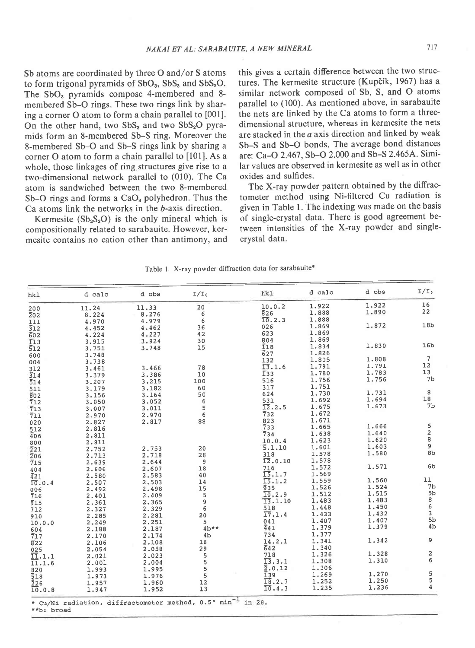Sb atoms are coordinated by three O and/or S atoms to form trigonal pyramids of  $SbO<sub>3</sub>$ ,  $SbS<sub>3</sub>$  and  $SbS<sub>2</sub>O$ . The SbO<sub>3</sub> pyramids compose 4-membered and 8membered Sb-O rings. These two rings link by sharing a corner O atom to form a chain parallel to [001]. On the other hand, two  $SbS_3$  and two  $SbS_2O$  pyramids form an 8-membered Sb-S ring. Moreover the 8-membered Sb-O and Sb-S rings link by sharing a corner O atom to form a chain parallel to [101]. As a whole, those linkages of ring structures give rise to a two-dimensional network parallel to (010). The Ca atom is sandwiched between the two 8-membered Sb-O rings and forms a  $CaO<sub>8</sub>$  polyhedron. Thus the Ca atoms link the networks in the b-axis direction.

Kermesite  $(Sb_2S_2O)$  is the only mineral which is compositionally related to sarabauite. However, kermesite contains no cation other than antimony, and this gives a certain difference between the two structures. The kermesite structure (Kupčík, 1967) has a similar network composed of Sb, S, and O atoms parallel to (100). As mentioned above, in sarabauite the nets are linked by the Ca atoms to form a threedimensional structure, whereas in kermesite the nets are stacked in the a axis direction and linked by weak Sb-S and Sb-O bonds. The average bond distances are: Ca-O 2.467, Sb-O 2.000 and Sb-S 2.465A. Similar values are observed in kermesite as well as in other oxides and sulfides.

The X-ray powder pattern obtained by the diffractometer method using Ni-filtered Cu radiation is given in Table l. The indexing was made on the basis of single-crystal data. There is good agreement between intensities of the X-ray powder and singlecrvstal data.

| Table 1. X-ray powder diffraction data for sarabauite* |  |  |  |
|--------------------------------------------------------|--|--|--|
|--------------------------------------------------------|--|--|--|

| hk1              | d calc                                                           | d obs | $I/I_0$        | hk1                 | d calc | d obs | $I/I_0$                               |
|------------------|------------------------------------------------------------------|-------|----------------|---------------------|--------|-------|---------------------------------------|
| 200              | 11.24                                                            | 11.33 | 20             | 10.0.2              | 1.922  | 1.922 | 16                                    |
| $\overline{2}02$ | 8.224                                                            | 8.276 | 6              | 826                 | 1.888  | 1.890 | 22                                    |
| 111              | 4.970                                                            | 4.979 | 6              | 10.2.3              | 1.888  |       |                                       |
| $\overline{3}12$ | 4.452                                                            | 4.462 | 36             | 026                 | 1.869  | 1.872 | 18 <sub>b</sub>                       |
| 602              | 4.224                                                            | 4.227 | 42             | 623                 | 1.869  |       |                                       |
| $\bar{1}13$      | 3.915                                                            | 3.924 | 30             | 804                 | 1.869  |       |                                       |
| 512              | 3.751                                                            | 3,748 | 15             | $\overline{1}18$    | 1.834  | 1.830 | 16 <sub>b</sub>                       |
| 600              | 3.748                                                            |       |                | 627                 | 1.826  |       |                                       |
| 004              | 3.738                                                            |       |                | 132                 | 1.805  | 1.808 | 7                                     |
| 312              | 3.461                                                            | 3,466 | 78             | 13.1.6              | 1.791  | 1.791 | 12                                    |
| 314              | 3.379                                                            | 3.386 | 10             | $\overline{1}33$    | 1.780  | 1.783 | 13                                    |
| 514              | 3.207                                                            | 3.215 | 100            | 516                 | 1.756  | 1.756 | 7b                                    |
| 511              | 3.179                                                            | 3.182 | 60             | 317                 | 1.751  |       |                                       |
| 802              | 3.156                                                            | 3.164 | 50             | 624                 | 1.730  | 1.731 | 8                                     |
| 712              | 3.050                                                            | 3.052 | 6              | 531                 | 1.692  | 1.694 | 18                                    |
| 713              | 3.007                                                            | 3.011 | 5              | 12.2.5              | 1.675  | 1.673 | 7 <sub>b</sub>                        |
| 711              | 2.970                                                            | 2.970 | 6              | $\bar{7}32$         | 1.672  |       |                                       |
| 020              | 2.827                                                            | 2.817 | 88             | 823                 | 1.671  |       |                                       |
| 512              | 2.816                                                            |       |                | 733                 | 1.665  | 1.666 | 5                                     |
| 406              | 2.811                                                            |       |                | 734                 | 1.638  | 1.640 | $\frac{2}{8}$                         |
| 800              | 2.811                                                            |       |                | 10.0.4              | 1.623  | 1.620 |                                       |
| $\overline{2}21$ | 2.752                                                            | 2.753 | 20             | 5.1.10              | 1.601  | 1.603 | 9                                     |
| $\overline{2}06$ | 2.713                                                            | 2.718 | 28             | 318                 | 1.578  | 1.580 | 8b                                    |
| 715              | 2.639                                                            | 2.644 | 9              | 12.0.10             | 1.578  |       |                                       |
| 404              | 2.606                                                            | 2.607 | 18             | 716                 | 1.572  | 1.571 | 6b                                    |
| 421              | 2.580                                                            | 2.583 | 40             | 15.1.7              | 1.569  |       |                                       |
| 10.0.4           | 2.507                                                            | 2.503 | 14             | 15.1.2              | 1.559  | 1.560 | 11                                    |
| 006              | 2.492                                                            | 2.498 | 15             | 935                 | 1.526  | 1.524 | 7 <sub>b</sub>                        |
| 716              | 2.401                                                            | 2.409 | 5              | 10.2.9              | 1.512  | 1.515 | 5 <sub>b</sub>                        |
| 915              | 2.361                                                            | 2.365 | 9              | 13.1.10             | 1.483  | 1.483 | 8                                     |
| 712              | 2.327                                                            | 2.329 | 6              | 518                 | 1.448  | 1.450 | $\begin{array}{c} 6 \\ 3 \end{array}$ |
| 910              | 2.285                                                            | 2.281 | 20             | 17.1.4              | 1.433  | 1.432 |                                       |
| 10.0.0           | 2.249                                                            | 2.251 | 5              | 041                 | 1.407  | 1.407 | 5 <sub>b</sub>                        |
| 604              | 2.188                                                            | 2.187 | $4b**$         | 441                 | 1.379  | 1.379 | 4 <sub>b</sub>                        |
| 717              | 2.170                                                            | 2.174 | 4 <sub>b</sub> | 734                 | 1.377  |       |                                       |
| 822              | 2.106                                                            | 2.108 | 16             | 14.2.1              | 1.341  | 1.342 | 9                                     |
| 025              | 2.054                                                            | 2.058 | 29             | 642                 | 1.340  |       |                                       |
| 11.1.1           | 2.021                                                            | 2.023 | 5              | 718                 | 1.326  | 1.328 | $\frac{2}{6}$                         |
| 11.1.6           | 2.001                                                            | 2.004 | 5              | $\overline{13}.3.1$ | 1.308  | 1.310 |                                       |
| 820              | 1.993                                                            | 1.995 | 5              | $\bar{2}$ .0.12     | 1.306  |       |                                       |
| 518              | 1.973                                                            | 1.976 | 5              | I <sub>39</sub>     | 1.269  | 1.270 | 5                                     |
| 226              | 1.957                                                            | 1.960 | 12             | 18.2.7              | 1.252  | 1.250 | $\frac{5}{4}$                         |
| 10.0.8           | 1.947                                                            | 1.952 | 13             | 10.4.3              | 1.235  | 1.236 |                                       |
|                  | * Cu/Ni radiation, diffractometer method, 0.5° min <sup>-1</sup> |       |                |                     |        |       |                                       |

\*\*b: broad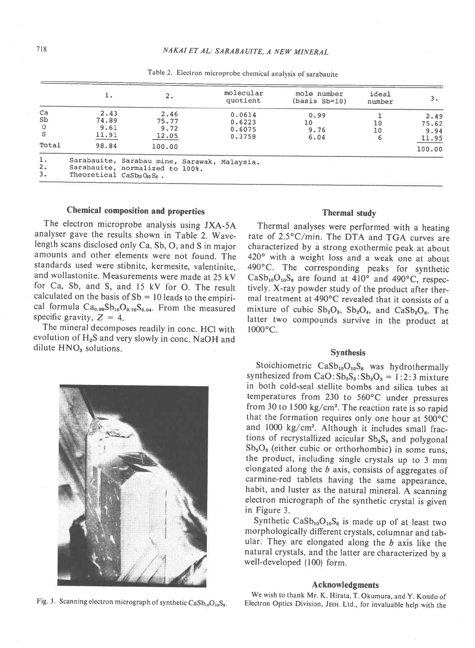|                                   | ı.                                                              | 2.                                                                              | molecular<br>quotient                | mole number<br>$(basis Sb=10)$ | ideal<br>number |                                          |
|-----------------------------------|-----------------------------------------------------------------|---------------------------------------------------------------------------------|--------------------------------------|--------------------------------|-----------------|------------------------------------------|
| Ca<br>Sb<br>$\circ$<br>S<br>Total | 2.43<br>74.89<br>9.61<br>11.91<br>98.84                         | 2.46<br>75.77<br>9.72<br>12.05<br>100.00                                        | 0.0614<br>0.6223<br>0.6075<br>0.3759 | 0.99<br>10<br>9.76<br>6.04     | 10<br>10        | 2.49<br>75.62<br>9.94<br>11.95<br>100.00 |
| ı.<br>2.<br>3.                    | Theoretical CaSb <sub>10</sub> O <sub>10</sub> S <sub>6</sub> . | Sarabauite, Sarabau mine, Sarawak, Malaysia.<br>Sarabauite, normalized to 100%. |                                      |                                |                 |                                          |

Table 2. Electron microprobe chemical analysis of sarabauite

# Chemical composition and properties

The electron microprobe analysis using JXA-5A analyser gave the results shown in Table 2. Wavelength scans disclosed only Ca, Sb, O, and S in major amounts and other elements were not found. The standards used were stibnite, kermesite, valentinite, and wollastonite. Measurements were made at 25 kV for Ca, Sb, and S, and 15 kV for O. The result calculated on the basis of  $Sb = 10$  leads to the empirical formula  $Ca_{0.99}Sb_{10}O_{9.76}S_{6.04}$ . From the measured specific gravity,  $Z = 4$ .

The mineral decomposes readily in conc. HCI with evolution of  $H_2S$  and very slowly in conc. NaOH and dilute  $HNO<sub>3</sub>$  solutions.



#### Thermal study

Thermal analyses were performed with a heating rate of 2.5°C/min. The DTA and TGA curves are characterized by a strong exothermic peak at about 420° with a weight loss and a weak one at about 490"C. The corresponding peaks for synthetic  $CaSb_{10}O_{10}S_6$  are found at 410° and 490°C, respectively. X-ray powder study of the product after thermal treatment at 490°C revealed that it consists of a mixture of cubic  $Sb_2O_3$ ,  $Sb_2O_4$ , and  $CaSb_2O_6$ . The latter two compounds survive in the product at  $1000^{\circ}$ C.

# Synthesis

Stoichiometric  $CaSb_{10}O_{10}S_6$  was hydrothermally synthesized from  $CaO: Sb_2S_3: Sb_2O_3 = 1:2:3$  mixture in both cold-seal stellite bombs and silica tubes at temperatures from 230 to 560°C under pressures from 30 to 1500 kg/cm". The reaction rate is so rapid that the formation requires only one hour at 500°C and 1000 kg/cm<sup>2</sup>. Although it includes small fractions of recrystallized acicular  $Sb_2S_3$  and polygonal  $Sb<sub>2</sub>O<sub>3</sub>$  (either cubic or orthorhombic) in some runs, the product, including single crystals up to 3 mm elongated along the  $b$  axis, consists of aggregates of carmine-red tablets having the same appearance, habit, and luster as the natural mineral. A scanning electron micrograph of the synthetic crystal is given in Figure 3.

Synthetic  $CaSb_{10}O_{10}S_6$  is made up of at least two morphologically different crystals, columnar and tabular. They are elongated along the  $b$  axis like the natural crystals, and the latter are characterized by a well-developed {100} form.

#### Acknowledgments

We wish to thank Mr. K. Hirata, T. Okumura, and Y. Kondo of Fig. 3. Scanning electron micrograph of synthetic CaSb<sub>10</sub>O<sub>10</sub>S<sub>6</sub>. Electron Optics Division, JEOL Ltd., for invaluable help with the